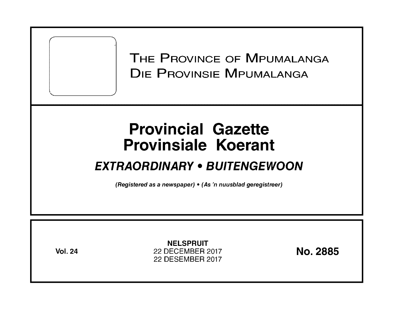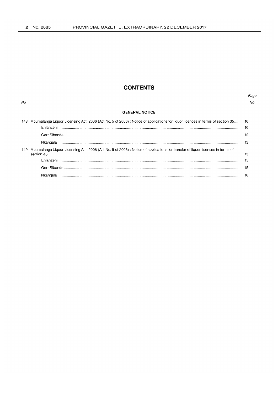No

# **CONTENTS**

### Page  $N_O$

### **GENERAL NOTICE**

|     | Mpumalanga Liquor Licensing Act, 2006 (Act No. 5 of 2006): Notice of applications for liquor licences in terms of section 35 10 |  |
|-----|---------------------------------------------------------------------------------------------------------------------------------|--|
|     |                                                                                                                                 |  |
|     |                                                                                                                                 |  |
|     |                                                                                                                                 |  |
| 149 | Mpumalanga Liquor Licensing Act, 2006 (Act No. 5 of 2006) : Notice of applications for transfer of liquor licences in terms of  |  |
|     |                                                                                                                                 |  |
|     |                                                                                                                                 |  |
|     |                                                                                                                                 |  |
|     |                                                                                                                                 |  |
|     |                                                                                                                                 |  |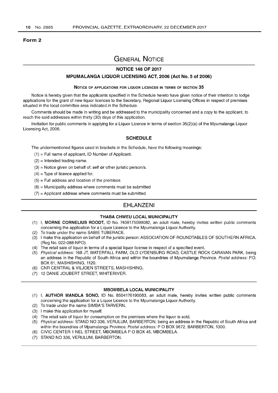#### Form 2

# GENERAL NOTICE

## NOTICE 148 OF 2017

### MPUMALANGA LIQUOR LICENSING ACT, 2006 (Act No.5 of 2006)

#### NOTICE OF APPLICATIONS FOR LIQUOR LICENCES IN TERMS OF SECTION 35

Notice is hereby given that the applicants specified in the Schedule hereto have given notice of their intention to lodge applications for the grant of new liquor licences to the Secretary, Regional Liquor Licensing Offices in respect of premises situated in the local committee area indicated in the Schedule.

Comments should be made in writing and be addressed to the municipality concerned and a copy to the applicant, to reach the said addresses within thirty (30) days of this application.

Invitation for public comments in applying for a Liquor Licence in terms of section 35(2)(a) of the Mpumalanga Liquor Licensing Act, 2006.

### **SCHEDULE**

The undermentioned figures used in brackets in the Schedule, have the following meanings:

- $(1)$  = Full name of applicant, ID Number of Applicant.
- $(2)$  = Intended trading name.
- $(3)$  = Notice given on behalf of: self or other juristic person/s.
- $(4)$  = Type of licence applied for.
- $(5)$  = Full address and location of the premises
- $(6)$  = Municipality address where comments must be submitted
- $(7)$  = Applicant address where comments must be submitted

# EHLANZENI

#### THABA CHWEU LOCAL MUNICIPALITY

- (1) I, MORNE CORNELIUS ROODT, ID No. 7408175099082, an adult male, hereby invites written public comments concerning the application for a Liquor Licence to the Mpumalanga Liquor Authority.
- (2) To trade under the name SABlE TUBERACE.
- (3) I make this application on behalf of the juristic person: ASSOCIATION OF ROUNDTABLES OF SOUTHERN AFRICA. (Reg No. 022-088-NPO).
- (4) The retail sale of liquor in terms of a special liquor license in respect of a specified event.
- (5) Physical address: 168 JT, WATERFALL FARM, OLD LYDENBURG ROAD, CASTLE ROCK CARAVAN PARK, being an address in the Republic of South Africa and within the boundries of Mpumalanga Province. Postal address: PO. BOX 61, MASHISHING, 1120.
- (6) CNR CENTRAL & VILJOEN STREETS, MASHISHING.
- (7) 12 DANIE JOUBERT STREET, WHITERIVER.

#### MBOMBELA LOCAL MUNICIPALITY

- (1) I, AUTHOR MANDLA SONO, ID No. 8504176190083, an adult male, hereby invites written public comments concerning the application for a Liquor Licence to the Mpumalanga Liquor Authority.
- (2) To trade under the name SIMBA'S TARVERN.
- (3) I make this application for myself.
- (4) The retail sale of liquor for consumption on the premises where the liquor is sold.
- (5) Physical address: STAND NO 336, VERULUM, BARBERTON, being an address in the Republic of South Africa and within the boundries of Mpumalanga Province. Postal address: P O BOX 9672, BARBERTON, 1300.
- (6) CIVIC CENTER 1 NEL STREET, MBOMBELA POBOX 45, MBOMBELA.
- (7) STAND NO 336, VERULUM, BARBERTON.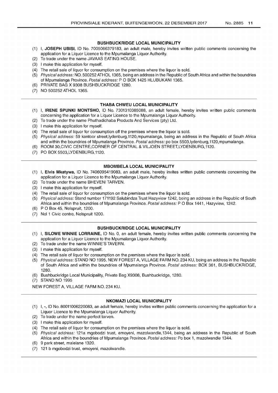### **BUSHBUCKRIDGE LOCAL MUNICIPALITY**

- (1) I, **JOSEPH UBISI,** ID No. 7005066379183, an adult male, hereby invites written public comments concerning the application for a Liquor Licence to the Mpumalanga Liquor Authority.
- (2) To trade under the name JAVAAS EATING HOUSE.
- (3) I make this application for myself.
- (4) The retail sale of liquor for consumption on the premises where the liquor is sold.
- (5) Physical address: NO. 500252 ATHOL 1365, being an address in the Republic of South Africa and within the boundries of Mpumalanga Province. Postal address: P O BOX 1425 HLUBUKANI 1365.
- (6) PRIVATE BAG X 9308 BUSHBUCKRIDGE 1280.
- (7) NO 500252 ATHOL 1365.

### **THABA CHWEU LOCAL MUNICIPALITY**

- (1) I, **IRENE SPUNKI MONTSHO,** ID No. 7301310385088, an adult female, hereby invites written public comments concerning the application for a Liquor Licence to the Mpumalanga Liquor Authority.
- (2) To trade under the name Phuthadichaba Products And Services (pty) Ltd.
- (3) I make this application for myself.
- (4) The retail sale of liquor for consumption off the premises where the liquor is sold.
- (5) Physical address: 59 kantoor street,lydenburg,1120,mpumalanga, being an address in the Republic of South Africa and within the boundries of Mpumalanga Province. Postal address: po box 5503,lydenburg, 1120,mpumalanga.
- (6) ROOM 30,CIVIC CENTRE,CORNER OF CENTRAL & VILJOEN STREET,LYDENBURG,1120.
- (7) PO BOX 5503,LYDENBURG,1120.

### **MBOMBELA LOCAL MUNICIPALITY**

- (1) I, **Elvis Mkatywa,** ID No. 7406095419083, an adult male, hereby invites written public comments concerning the application for a Liquor Licence to the Mpumalanga Liquor Authority.
- (2) To trade under the name BHEVENI TARVEN.
- (3) I make this application for myself.
- (4) The retail sale of liquor for consumption on the premises where the liquor is sold.
- (5) Physical address: Stand number 171192 Salubindza Trust Hazyview 1242, being an address in the Republic of South Africa and within the boundries of Mpumalanga Province. Postal address: PO Box 1441, Hazyview, 1242.
- (6) POBox 45, Nelspruit, 1200.
- (7) Nel 1 Civic centre, Nelspruit 1200.

### **BUSHBUCKRIDGE LOCAL MUNICIPALITY**

- (1) I, **SILOWE WINNIE LORRAINE,** ID No. 0, an adult female, hereby invites written public comments concerning the application for a Liquor Licence to the Mpumalanga Liquor Authority.
- (2) To trade under the name WINNIE'S TAVERN.
- (3) I make this application for myself.
- (4) The retail sale of liquor for consumption on the premises where the liquor is sold.
- (5) Physical address: STAND NO 1995, NEW FOREST A, VILLAGE FARM NO. 234 KU, being an address in the Republic of South Africa and within the boundries of Mpumalanga Province. Postal address: BOX 361, BUSHBUCKRIDGE, 1280.
- (6) Bushbuckridge Local Municipality, Private Bag X9308, Bushbuckridge, 1280.
- (7) STAND NO 1995

NEW FOREST A, VILLAGE FARM NO. 234 KU.

### **NKOMAZI LOCAL MUNICIPALITY**

- (1) I, **-,** ID No. 80011006220083, an adult female, hereby invites written public comments concerning the application for a Liquor Licence to the Mpumalanga Liquor Authority.
- (2) To trade under the name perfect tarven.
- (3) I make this application for myself.
- (4) The retail sale of liquor for consumption on the premises where the liquor is sold.
- (5) Physical address: 121a mgobodzi trust, emoyeni, mazolwandle, 1344, being an address in the Republic of South Africa and within the boundries of Mpumalanga Province. Postal address: Po box 1, mazolwandle 1344.
- (6) 9 park street, malelane 1320.
- (7) 121 b mgobodzi trust, emoyeni, mazolwandle.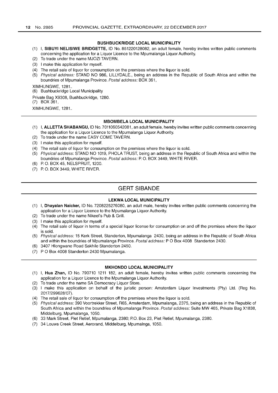#### **BUSHBUCKRIDGE LOCAL MUNICIPALITY**

- (1) I, **SIBUYI NELISIWE BRIDGETTE,** ID No. 851220128082, an adult female, hereby invites written public comments concerning the application for a Liquor Licence to the Mpumalanga Liquor Authority.
- (2) To trade under the name MJOZI TAVERN.
- (3) I make this application for myself.
- (4) The retail sale of liquor for consumption on the premises where the liquor is sold.
- (5) Physical address: STAND NO 986, LlLLYDALE., being an address in the Republic of South Africa and within the boundries of Mpumalanga Province. Postal address: BOX 361,

XIMHUNGWE,1281..

(6) Bushbuckridge Local Municipality

Private Bag X9308, Bushbuckridge, 1280.

(7) BOX 361,

XIMHUNGWE,1281..

#### **MBOMBELA LOCAL MUNICIPALITY**

- (1) I, **ALLETTA SHABANGU,** ID No. 7011060542081, an adult female, hereby invites written public comments concerning the application for a Liquor Licence to the Mpumalanga Liquor Authority.
- (2) To trade under the name EASY COME TAVERN.
- (3) I make this application for myself.
- (4) The retail sale of liquor for consumption on the premises where the liquor is sold.
- (5) Physical address: STAND NO 1019, PHOLA TRUST, being an address in the Republic of South Africa and within the boundries of Mpumalanga Province. Postal address: P. O. BOX 3449, WHITE RIVER.
- (6) P. O. BOX 45, NELSPRUIT, 1200.
- (7) P. O. BOX 3449, WHITE RIVER.

## **GERT SIBANDE**

#### **LEKWA LOCAL MUNICIPALITY**

- (1) I, **Dhayalan Naicker,** ID No. 7208225276080, an adult male, hereby invites written public comments concerning the application for a Liquor Licence to the Mpumalanga Liquor Authority.
- (2) To trade under the name Nikeel's Pub & Grill.
- (3) I make this application for myself.
- (4) The retail sale of liquor in terms of a special liquor license for consumption on and off the premises where the liquor is sold.
- (5) Physical address: 15 Kerk Street, Standerton, Mpumalanga 2430, being an address in the Republic of South Africa and within the boundries of Mpumalanga Province. Postal address: P O Box 4008 Standerton 2430.
- (6) 3407 Hlongwane Road Sakhile Standerton 2450.
- (7) POBox 4008 Standerton 2430 Mpumalanga.

#### **MKHONDO LOCAL MUNICIPALITY**

- (1) I, **Hua Zhan,** ID No. 790710 1211 182, an adult female, hereby invites written public comments concerning the application for a Liquor Licence to the Mpumalanga Liquor Authority.
- (2) To trade under the name SA Democracy Liquor Store.
- (3) I make this application on behalf of the juristic person: Amsterdam Liquor Investments (Pty) Ltd. (Reg No. 2017/299628/07) .
- (4) The retail sale of liquor for consumption off the premises where the liquor is sold.
- (5) Physical address: 390 Voortrekker Street, R65, Amsterdam, Mpumalanga, 2375, being an address in the Republic of South Africa and within the boundries of Mpumalanga Province. Postal address: Suite MW 465, Private Bag X1838, Middelburg, Mpumalanga, 1050.
- (6) 33 Mark Street, Piet Retief, Mpumalanga, 2380; PO. Box 23, Piet Retief, Mpumalanga, 2380.
- (7) 34 Louws Creek Street, Aerorand, Middelburg, Mpumalnga, 1050.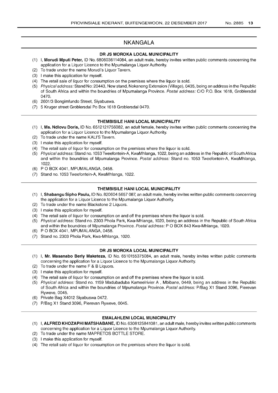# NKANGALA

### DR JS MOROKA LOCAL MUNICIPALITY

- (1) I, Morudi Mputi Peter, ID No. 6806036114084, an adult male, hereby invites written public comments concerning the application for a Liquor Licence to the Mpumalanga Liquor Authority.
- (2) To trade under the name Morudi's Liquor Tavern.
- (3) I make this application for myself.
- (4) The retail sale of liquor for consumption on the premises where the liquor is sold.
- (5) Physical address: Stand No: 20443, New stand, Nokaneng Extension (Village), 0435, being an address in the Republic of South Africa and within the boundries of Mpumalanga Province. Postal address: CIO P.O. Box 1618, Groblersdal 0470.
- (6) 2601/3 Bongimfundo Street, Siyabuswa.
- (7) 5 Kruger street Groblersdal Po Box 1618 Groblersdal 0470.

### **THEMBISILE HANI LOCAL MUNICIPALITY**

- (1) I, Ms. Ndlovu Doris, ID No. 6512121756082, an adult female, hereby invites written public comments concerning the application for a Liquor Licence to the Mpumalanga Liquor Authority.
- (2) To trade under the name KALI'S Tavern.
- (3) I make this application for myself.
- (4) The retail sale of liquor for consumption on the premises where the liquor is sold.
- (5) Physical address: Stand no. 1053 Tweefontein-A, KwaMhlanga, 1022, being an address in the Republic of South Africa and within the boundries of Mpumalanga Province. Postal address: Stand no. 1053 Tweefontein-A, KwaMhlanga, 1022.
- (6) POBOX 4041, MPUMALANGA, 0458.
- (7) Stand no. 1053 Tweefontein-A, KwaMhlanga, 1022.

### **THEMBISILE HANI LOCAL MUNICIPALITY**

- (1) I, Shabangu Sipho Paulu, ID No. 820604 5657 087, an adult male, hereby invites written public comments concerning the application for a Liquor Licence to the Mpumalanga Liquor Authority.
- (2) To trade under the name Blackstone 2 Liquors.
- (3) I make this application for myself.
- (4) The retail sale of liquor for consumption on and off the premises where the liquor is sold.
- (5) Physical address: Stand no. 2303 Phola Park, Kwa-Mhlanga, 1020, being an address in the Republic of South Africa and within the boundries of Mpumalanga Province. Postal address: POBOX 843 Kwa-Mhlanga, 1020.
- (6) POBOX 4041, MPUMALANGA, 0458.
- (7) Stand no. 2303 Phola Park, Kwa-Mhlanga, 1020.

### DR JS MOROKA LOCAL MUNICIPALITY

- (1) I, Mr. Masanabo Berly Maketeza, ID No. 6510155375084, an adult male, hereby invites written public comments concerning the application for a Liquor Licence to the Mpumalanga Liquor Authority.
- (2) To trade under the name F & B Liquors.
- (3) I make this application for myself.
- (4) The retail sale of liquor for consumption on and off the premises where the liquor is sold.
- (5) Physical address: Stand no. 1159 Madubaduba Kameelrivier A , Mbibane, 0449, being an address in the Republic of South Africa and within the boundries of Mpumalanga Province. Postal address: P/Bag X1 Stand 3096, Pierevan Ryweve, 0045.
- (6) Private Bag X4012 Siyabuswa 0472.
- (7) P/Bag X1 Stand 3096, Pierevan Ryweve, 0045.

### EMALAHLENI LOCAL MUNICIPALITY

- (1) I, ALFRED KHOZAPHI MATSHABANE, ID No. 6308125841081, an adult male, hereby invites written public comments concerning the application for a Liquor Licence to the Mpumalanga Liquor Authority.
- (2) To trade under the name MAPRETOS BOTTLE STORE.
- (3) I make this application for myself.
- (4) The retail sale of liquor for consumption on the premises where the liquor is sold.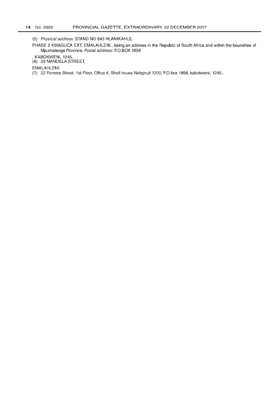(5) Physical address: STAND NO 643 HLANIKAHLE,

PHASE 2 KWAGUCA EXT, EMALAHLENI., being an address in the Republic of South Africa and within the boundries of Mpumalanga Province. Postal address: P.O.BOX 1858

, KABOKWENI, 1245 ..

(6) 29 MANDELA STREET,

EMALAHLENI.

(7) 22 Ferreira Street, 1st Floor, Office 4, Shell house Nelspruit 1200; P.O box 1858, kabokweni, 1245 ..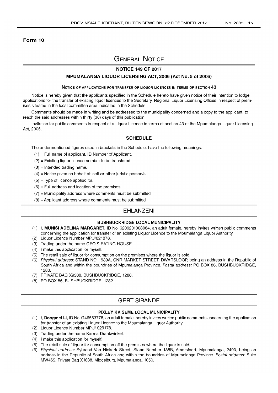### **Form 10**

# **GENERAL NOTICE**

## **NOTICE 149 OF 2017**

### **MPUMALANGA LIQUOR LICENSING ACT, 2006 (Act No.5 of 2006)**

#### NOTICE OF APPLICATIONS FOR TRANSFER OF LIQUOR LICENCES IN TERMS OF SECTION **43**

Notice is hereby given that the applicants specified in the Schedule hereto have given notice of their intention to lodge applications for the transfer of existing liquor licences to the Secretary, Regional Liquor Licensing Offices in respect of premises situated in the local committee area indicated in the Schedule.

Comments should be made in writing and be addressed to the municipality concerned and a copy to the applicant, to reach the said addresses within thirty (30) days of this publication.

Invitation for public comments in respect of a Liquor Licence in terms of section 43 of the Mpumalanga Liquor Licensing Act, 2006.

### **SCHEDULE**

The undermentioned figures used in brackets in the Schedule, have the following meanings:

- $(1)$  = Full name of applicant, ID Number of Applicant.
- (2) = Existing liquor licence number to be transfered.
- $(3)$  = Intended trading name.
- $(4)$  = Notice given on behalf of: self **or** other juristic person/s.
- $(5)$  = Type of licence applied for.
- $(6)$  = Full address and location of the premises
- $(7)$  = Municipality address where comments must be submitted
- $(8)$  = Applicant address where comments must be submitted

### **EHLANZENI**

### **BUSHBUCKRIDGE LOCAL MUNICIPALITY**

- (1) I, **MUNISI ADELINA** MARGARET, ID No. 6209201008084, an adult female, hereby invites written public comments concerning the application for transfer of an existing Liquor Licence to the Mpumalanga Liquor Authority.
- (2) Liquor Licence Number MPU/021878.
- (3) Trading under the name GEO'S EATING HOUSE.
- (4) I make this application for myself.
- (5) The retail sale of liquor for consumption on the premises where the liquor is sold.
- (6) Physical address: STAND NO. 1939A, CNR MARKET STREET, DWARSLOOP, being an address in the Republic of South Africa and within the boundries of Mpumalanga Province. Postal address: PO BOX 86, BUSHBUCKRIDGE, 1280.
- (7) PRIVATE BAG X9308, BUSHBUCKRIDGE, 1280.
- (8) PO BOX 86, BUSHBUCKRIDGE, 1282.

# **GERT SIBANDE**

### **PIXLEY KA SEME LOCAL MUNICIPALITY**

- (1) I, **Dongmei** Li, ID No. G46553778, an adult female, hereby invites written public comments concerning the application for transfer of an existing Liquor Licence to the Mpumalanga Liquor Authority.
- (2) Liquor Licence Number MPU/ 029178.
- (3) Trading under the name Karma Drankwinkel.
- (4) I make this application for myself.
- (5) The retail sale of liquor for consumption off the premises where the liquor is sold.
- (6) Physical address: Sybrand Van Niekerk Street, Stand Number 138B, Amersfoort, Mpumalanga, 2490, being an address in the Republic of South Africa and within the boundries of Mpumalanga Province. Postal address: Suite MW465, Private Bag X1838, Middelburg, Mpumalanga, 1050.